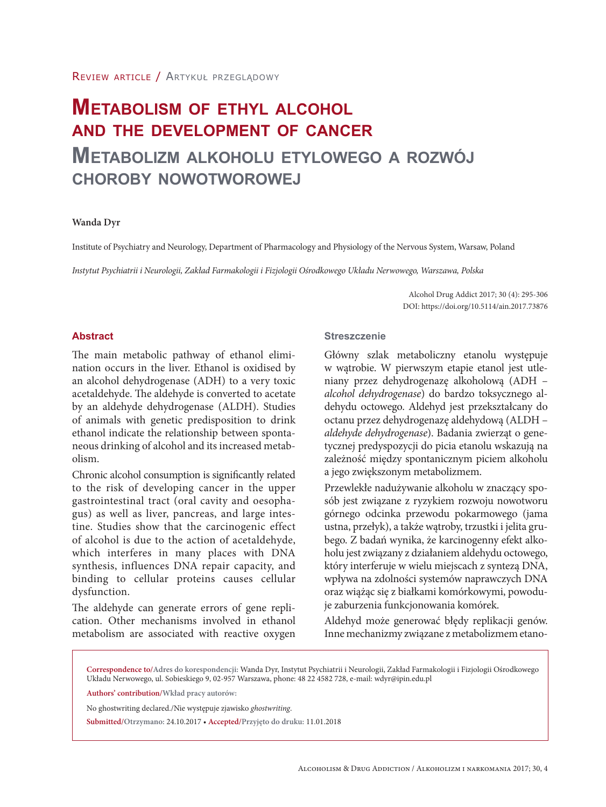# **Metabolism of ethyl alcohol and the development of cancer Metabolizm alkoholu etylowego a rozwój choroby nowotworowej**

#### **Wanda Dyr**

Institute of Psychiatry and Neurology, Department of Pharmacology and Physiology of the Nervous System, Warsaw, Poland

*Instytut Psychiatrii i Neurologii, Zakład Farmakologii i Fizjologii Ośrodkowego Układu Nerwowego, Warszawa, Polska*

Alcohol Drug Addict 2017; 30 (4): 295-306 DOI: https://doi.org/10.5114/ain.2017.73876

#### **Abstract**

The main metabolic pathway of ethanol elimination occurs in the liver. Ethanol is oxidised by an alcohol dehydrogenase (ADH) to a very toxic acetaldehyde. The aldehyde is converted to acetate by an aldehyde dehydrogenase (ALDH). Studies of animals with genetic predisposition to drink ethanol indicate the relationship between spontaneous drinking of alcohol and its increased metabolism.

Chronic alcohol consumption is significantly related to the risk of developing cancer in the upper gastrointestinal tract (oral cavity and oesophagus) as well as liver, pancreas, and large intestine. Studies show that the carcinogenic effect of alcohol is due to the action of acetaldehyde, which interferes in many places with DNA synthesis, influences DNA repair capacity, and binding to cellular proteins causes cellular dysfunction.

The aldehyde can generate errors of gene replication. Other mechanisms involved in ethanol metabolism are associated with reactive oxygen

### **Streszczenie**

Główny szlak metaboliczny etanolu występuje w wątrobie. W pierwszym etapie etanol jest utleniany przez dehydrogenazę alkoholową (ADH – *alcohol dehydrogenase*) do bardzo toksycznego aldehydu octowego. Aldehyd jest przekształcany do octanu przez dehydrogenazę aldehydową (ALDH – *aldehyde dehydrogenase*). Badania zwierząt o genetycznej predyspozycji do picia etanolu wskazują na zależność między spontanicznym piciem alkoholu a jego zwiększonym metabolizmem.

Przewlekłe nadużywanie alkoholu w znaczący sposób jest związane z ryzykiem rozwoju nowotworu górnego odcinka przewodu pokarmowego (jama ustna, przełyk), a także wątroby, trzustki i jelita grubego. Z badań wynika, że karcinogenny efekt alkoholu jest związany z działaniem aldehydu octowego, który interferuje w wielu miejscach z syntezą DNA, wpływa na zdolności systemów naprawczych DNA oraz wiążąc się z białkami komórkowymi, powoduje zaburzenia funkcjonowania komórek.

Aldehyd może generować błędy replikacji genów. Inne mechanizmy związane z metabolizmem etano-

**Correspondence to/Adres do korespondencji:** Wanda Dyr, Instytut Psychiatrii i Neurologii, Zakład Farmakologii i Fizjologii Ośrodkowego Układu Nerwowego, ul. Sobieskiego 9, 02-957 Warszawa, phone: 48 22 4582 728, e-mail: wdyr@ipin.edu.pl

**Authors' contribution/Wkład pracy autorów:** 

No ghostwriting declared./Nie występuje zjawisko *ghostwriting*.

**Submitted/Otrzymano:** 24.10.2017 *•* **Accepted/Przyjęto do druku:** 11.01.2018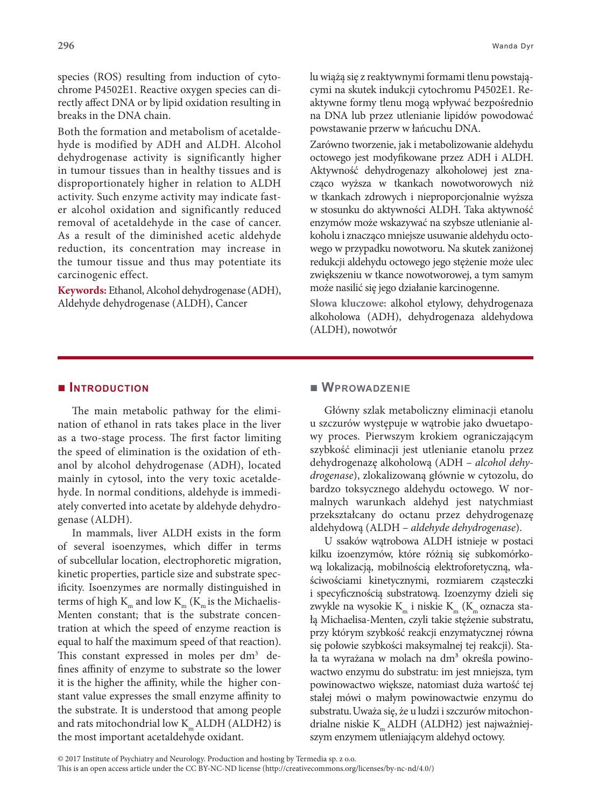species (ROS) resulting from induction of cytochrome P4502E1. Reactive oxygen species can directly affect DNA or by lipid oxidation resulting in breaks in the DNA chain.

Both the formation and metabolism of acetaldehyde is modified by ADH and ALDH. Alcohol dehydrogenase activity is significantly higher in tumour tissues than in healthy tissues and is disproportionately higher in relation to ALDH activity. Such enzyme activity may indicate faster alcohol oxidation and significantly reduced removal of acetaldehyde in the case of cancer. As a result of the diminished acetic aldehyde reduction, its concentration may increase in the tumour tissue and thus may potentiate its carcinogenic effect.

**Keywords:** Ethanol, Alcohol dehydrogenase (ADH), Aldehyde dehydrogenase (ALDH), Cancer

lu wiążą się z reaktywnymi formami tlenu powstającymi na skutek indukcji cytochromu P4502E1. Reaktywne formy tlenu mogą wpływać bezpośrednio na DNA lub przez utlenianie lipidów powodować powstawanie przerw w łańcuchu DNA.

Zarówno tworzenie, jak i metabolizowanie aldehydu octowego jest modyfikowane przez ADH i ALDH. Aktywność dehydrogenazy alkoholowej jest znacząco wyższa w tkankach nowotworowych niż w tkankach zdrowych i nieproporcjonalnie wyższa w stosunku do aktywności ALDH. Taka aktywność enzymów może wskazywać na szybsze utlenianie alkoholu i znacząco mniejsze usuwanie aldehydu octowego w przypadku nowotworu. Na skutek zaniżonej redukcji aldehydu octowego jego stężenie może ulec zwiększeniu w tkance nowotworowej, a tym samym może nasilić się jego działanie karcinogenne.

**Słowa kluczowe:** alkohol etylowy, dehydrogenaza alkoholowa (ADH), dehydrogenaza aldehydowa (ALDH), nowotwór

### **■ Introduction**

The main metabolic pathway for the elimination of ethanol in rats takes place in the liver as a two-stage process. The first factor limiting the speed of elimination is the oxidation of ethanol by alcohol dehydrogenase (ADH), located mainly in cytosol, into the very toxic acetaldehyde. In normal conditions, aldehyde is immediately converted into acetate by aldehyde dehydrogenase (ALDH).

In mammals, liver ALDH exists in the form of several isoenzymes, which differ in terms of subcellular location, electrophoretic migration, kinetic properties, particle size and substrate specificity. Isoenzymes are normally distinguished in terms of high  $K_m$  and low  $K_m$  ( $K_m$  is the Michaelis-Menten constant; that is the substrate concentration at which the speed of enzyme reaction is equal to half the maximum speed of that reaction). This constant expressed in moles per dm<sup>3</sup> defines affinity of enzyme to substrate so the lower it is the higher the affinity, while the higher constant value expresses the small enzyme affinity to the substrate. It is understood that among people and rats mitochondrial low  $K<sub>m</sub>$  ALDH (ALDH2) is the most important acetaldehyde oxidant.

### **■ Wprowadzenie**

Główny szlak metaboliczny eliminacji etanolu u szczurów występuje w wątrobie jako dwuetapowy proces. Pierwszym krokiem ograniczającym szybkość eliminacji jest utlenianie etanolu przez dehydrogenazę alkoholową (ADH – *alcohol dehydrogenase*), zlokalizowaną głównie w cytozolu, do bardzo toksycznego aldehydu octowego. W normalnych warunkach aldehyd jest natychmiast przekształcany do octanu przez dehydrogenazę aldehydową (ALDH – *aldehyde dehydrogenase*).

U ssaków wątrobowa ALDH istnieje w postaci kilku izoenzymów, które różnią się subkomórkową lokalizacją, mobilnością elektroforetyczną, właściwościami kinetycznymi, rozmiarem cząsteczki i specyficznością substratową. Izoenzymy dzieli się zwykle na wysokie K<sub>m</sub> i niskie K<sub>m</sub> (K<sub>m</sub> oznacza stałą Michaelisa-Menten, czyli takie stężenie substratu, przy którym szybkość reakcji enzymatycznej równa się połowie szybkości maksymalnej tej reakcji). Stała ta wyrażana w molach na dm<sup>3</sup> określa powinowactwo enzymu do substratu: im jest mniejsza, tym powinowactwo większe, natomiast duża wartość tej stałej mówi o małym powinowactwie enzymu do substratu.Uważa się, że u ludzi i szczurów mitochondrialne niskie K<sub>m</sub> ALDH (ALDH2) jest najważniejszym enzymem utleniającym aldehyd octowy.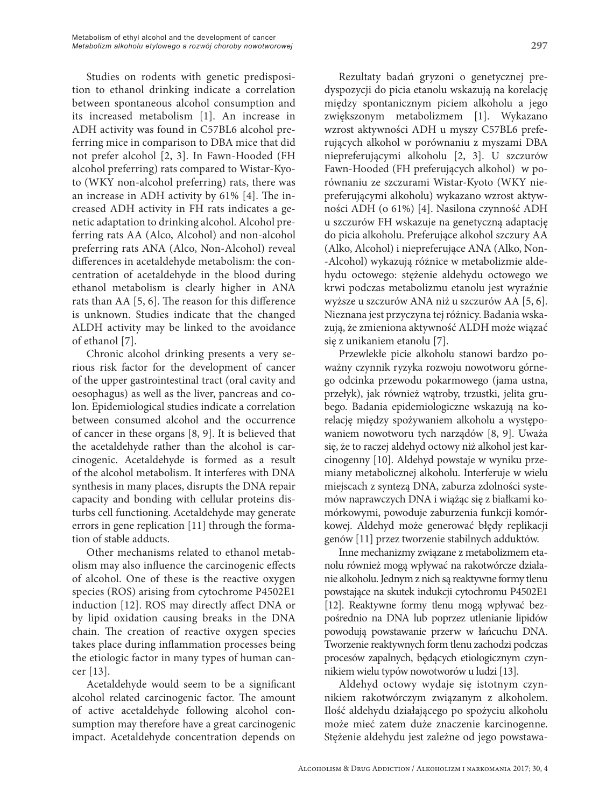Studies on rodents with genetic predisposition to ethanol drinking indicate a correlation between spontaneous alcohol consumption and its increased metabolism [1]. An increase in ADH activity was found in C57BL6 alcohol preferring mice in comparison to DBA mice that did not prefer alcohol [2, 3]. In Fawn-Hooded (FH alcohol preferring) rats compared to Wistar-Kyoto (WKY non-alcohol preferring) rats, there was an increase in ADH activity by 61% [4]. The increased ADH activity in FH rats indicates a genetic adaptation to drinking alcohol. Alcohol preferring rats AA (Alco, Alcohol) and non-alcohol preferring rats ANA (Alco, Non-Alcohol) reveal differences in acetaldehyde metabolism: the concentration of acetaldehyde in the blood during ethanol metabolism is clearly higher in ANA rats than AA [5, 6]. The reason for this difference is unknown. Studies indicate that the changed ALDH activity may be linked to the avoidance of ethanol [7].

Chronic alcohol drinking presents a very serious risk factor for the development of cancer of the upper gastrointestinal tract (oral cavity and oesophagus) as well as the liver, pancreas and colon. Epidemiological studies indicate a correlation between consumed alcohol and the occurrence of cancer in these organs [8, 9]. It is believed that the acetaldehyde rather than the alcohol is carcinogenic. Acetaldehyde is formed as a result of the alcohol metabolism. It interferes with DNA synthesis in many places, disrupts the DNA repair capacity and bonding with cellular proteins disturbs cell functioning. Acetaldehyde may generate errors in gene replication [11] through the formation of stable adducts.

Other mechanisms related to ethanol metabolism may also influence the carcinogenic effects of alcohol. One of these is the reactive oxygen species (ROS) arising from cytochrome P4502E1 induction [12]. ROS may directly affect DNA or by lipid oxidation causing breaks in the DNA chain. The creation of reactive oxygen species takes place during inflammation processes being the etiologic factor in many types of human cancer [13].

Acetaldehyde would seem to be a significant alcohol related carcinogenic factor. The amount of active acetaldehyde following alcohol consumption may therefore have a great carcinogenic impact. Acetaldehyde concentration depends on

Rezultaty badań gryzoni o genetycznej predyspozycji do picia etanolu wskazują na korelację między spontanicznym piciem alkoholu a jego zwiększonym metabolizmem [1]. Wykazano wzrost aktywności ADH u myszy C57BL6 preferujących alkohol w porównaniu z myszami DBA niepreferującymi alkoholu [2, 3]. U szczurów Fawn-Hooded (FH preferujących alkohol) w porównaniu ze szczurami Wistar-Kyoto (WKY niepreferującymi alkoholu) wykazano wzrost aktywności ADH (o 61%) [4]. Nasilona czynność ADH u szczurów FH wskazuje na genetyczną adaptację do picia alkoholu. Preferujące alkohol szczury AA (Alko, Alcohol) i niepreferujące ANA (Alko, Non- -Alcohol) wykazują różnice w metabolizmie aldehydu octowego: stężenie aldehydu octowego we krwi podczas metabolizmu etanolu jest wyraźnie wyższe u szczurów ANA niż u szczurów AA [5, 6]. Nieznana jest przyczyna tej różnicy. Badania wskazują, że zmieniona aktywność ALDH może wiązać się z unikaniem etanolu [7].

Przewlekłe picie alkoholu stanowi bardzo poważny czynnik ryzyka rozwoju nowotworu górnego odcinka przewodu pokarmowego (jama ustna, przełyk), jak również wątroby, trzustki, jelita grubego. Badania epidemiologiczne wskazują na korelację między spożywaniem alkoholu a występowaniem nowotworu tych narządów [8, 9]. Uważa się, że to raczej aldehyd octowy niż alkohol jest karcinogenny [10]. Aldehyd powstaje w wyniku przemiany metabolicznej alkoholu. Interferuje w wielu miejscach z syntezą DNA, zaburza zdolności systemów naprawczych DNA i wiążąc się z białkami komórkowymi, powoduje zaburzenia funkcji komórkowej. Aldehyd może generować błędy replikacji genów [11] przez tworzenie stabilnych adduktów.

Inne mechanizmy związane z metabolizmem etanolu również mogą wpływać na rakotwórcze działanie alkoholu. Jednym z nich są reaktywne formy tlenu powstające na skutek indukcji cytochromu P4502E1 [12]. Reaktywne formy tlenu mogą wpływać bezpośrednio na DNA lub poprzez utlenianie lipidów powodują powstawanie przerw w łańcuchu DNA. Tworzenie reaktywnych form tlenu zachodzi podczas procesów zapalnych, będących etiologicznym czynnikiem wielu typów nowotworów u ludzi [13].

Aldehyd octowy wydaje się istotnym czynnikiem rakotwórczym związanym z alkoholem. Ilość aldehydu działającego po spożyciu alkoholu może mieć zatem duże znaczenie karcinogenne. Stężenie aldehydu jest zależne od jego powstawa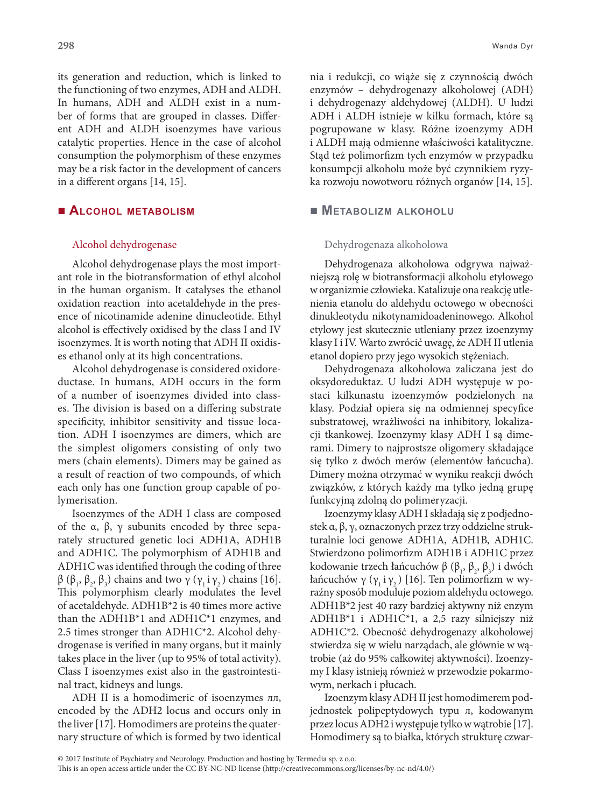its generation and reduction, which is linked to the functioning of two enzymes, ADH and ALDH. In humans, ADH and ALDH exist in a number of forms that are grouped in classes. Different ADH and ALDH isoenzymes have various catalytic properties. Hence in the case of alcohol consumption the polymorphism of these enzymes may be a risk factor in the development of cancers in a different organs [14, 15].

### **■ Alcohol metabolism**

### Alcohol dehydrogenase

Alcohol dehydrogenase plays the most important role in the biotransformation of ethyl alcohol in the human organism. It catalyses the ethanol oxidation reaction into acetaldehyde in the presence of nicotinamide adenine dinucleotide. Ethyl alcohol is effectively oxidised by the class I and IV isoenzymes. It is worth noting that ADH II oxidises ethanol only at its high concentrations.

Alcohol dehydrogenase is considered oxidoreductase. In humans, ADH occurs in the form of a number of isoenzymes divided into classes. The division is based on a differing substrate specificity, inhibitor sensitivity and tissue location. ADH I isoenzymes are dimers, which are the simplest oligomers consisting of only two mers (chain elements). Dimers may be gained as a result of reaction of two compounds, of which each only has one function group capable of polymerisation.

Isoenzymes of the ADH I class are composed of the  $\alpha$ ,  $\beta$ ,  $\gamma$  subunits encoded by three separately structured genetic loci ADH1A, ADH1B and ADH1C. The polymorphism of ADH1B and ADH1C was identified through the coding of three  $\beta$  (β<sub>1</sub>, β<sub>2</sub>, β<sub>3</sub>) chains and two γ (γ<sub>1</sub> i γ<sub>2</sub>) chains [16]. This polymorphism clearly modulates the level of acetaldehyde. ADH1B\*2 is 40 times more active than the ADH1B\*1 and ADH1C\*1 enzymes, and 2.5 times stronger than ADH1C\*2. Alcohol dehydrogenase is verified in many organs, but it mainly takes place in the liver (up to 95% of total activity). Class I isoenzymes exist also in the gastrointestinal tract, kidneys and lungs.

ADH II is a homodimeric of isoenzymes лл, encoded by the ADH2 locus and occurs only in the liver [17]. Homodimers are proteins the quaternary structure of which is formed by two identical nia i redukcji, co wiąże się z czynnością dwóch enzymów – dehydrogenazy alkoholowej (ADH) i dehydrogenazy aldehydowej (ALDH). U ludzi ADH i ALDH istnieje w kilku formach, które są pogrupowane w klasy. Różne izoenzymy ADH i ALDH mają odmienne właściwości katalityczne. Stąd też polimorfizm tych enzymów w przypadku konsumpcji alkoholu może być czynnikiem ryzyka rozwoju nowotworu różnych organów [14, 15].

# **■ Metabolizm alkoholu**

#### Dehydrogenaza alkoholowa

Dehydrogenaza alkoholowa odgrywa najważniejszą rolę w biotransformacji alkoholu etylowego w organizmie człowieka. Katalizuje ona reakcję utlenienia etanolu do aldehydu octowego w obecności dinukleotydu nikotynamidoadeninowego. Alkohol etylowy jest skutecznie utleniany przez izoenzymy klasy I i IV. Warto zwrócić uwagę, że ADH II utlenia etanol dopiero przy jego wysokich stężeniach.

Dehydrogenaza alkoholowa zaliczana jest do oksydoreduktaz. U ludzi ADH występuje w postaci kilkunastu izoenzymów podzielonych na klasy. Podział opiera się na odmiennej specyfice substratowej, wrażliwości na inhibitory, lokalizacji tkankowej. Izoenzymy klasy ADH I są dimerami. Dimery to najprostsze oligomery składające się tylko z dwóch merów (elementów łańcucha). Dimery można otrzymać w wyniku reakcji dwóch związków, z których każdy ma tylko jedną grupę funkcyjną zdolną do polimeryzacji.

Izoenzymy klasy ADH I składają się z podjednostek α, β, γ, oznaczonych przez trzy oddzielne strukturalnie loci genowe ADH1A, ADH1B, ADH1C. Stwierdzono polimorfizm ADH1B i ADH1C przez kodowanie trzech łańcuchów β ( $\beta_1$ ,  $\beta_2$ ,  $\beta_3$ ) i dwóch łańcuchów γ (γ<sub>1</sub> i γ<sub>2</sub>) [16]. Ten polimorfizm w wyraźny sposób moduluje poziom aldehydu octowego. ADH1B\*2 jest 40 razy bardziej aktywny niż enzym ADH1B\*1 i ADH1C\*1, a 2,5 razy silniejszy niż ADH1C\*2. Obecność dehydrogenazy alkoholowej stwierdza się w wielu narządach, ale głównie w wątrobie (aż do 95% całkowitej aktywności). Izoenzymy I klasy istnieją również w przewodzie pokarmowym, nerkach i płucach.

Izoenzym klasy ADH II jest homodimerem podjednostek polipeptydowych typu л, kodowanym przez locus ADH2 i występuje tylko w wątrobie [17]. Homodimery są to białka, których strukturę czwar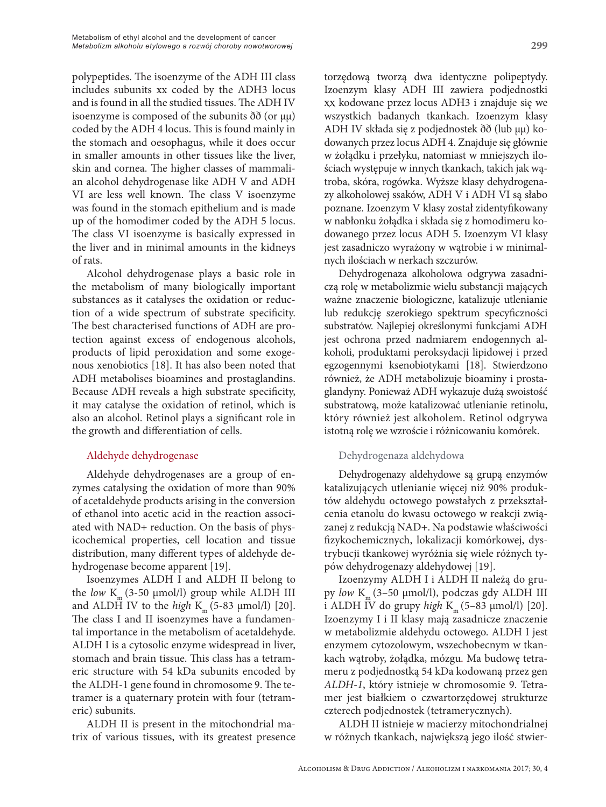polypeptides. The isoenzyme of the ADH III class includes subunits xx coded by the ADH3 locus and is found in all the studied tissues. The ADH IV isoenzyme is composed of the subunits ðð (or μμ) coded by the ADH 4 locus. This is found mainly in the stomach and oesophagus, while it does occur in smaller amounts in other tissues like the liver, skin and cornea. The higher classes of mammalian alcohol dehydrogenase like ADH V and ADH VI are less well known. The class V isoenzyme was found in the stomach epithelium and is made up of the homodimer coded by the ADH 5 locus. The class VI isoenzyme is basically expressed in the liver and in minimal amounts in the kidneys of rats.

Alcohol dehydrogenase plays a basic role in the metabolism of many biologically important substances as it catalyses the oxidation or reduction of a wide spectrum of substrate specificity. The best characterised functions of ADH are protection against excess of endogenous alcohols, products of lipid peroxidation and some exogenous xenobiotics [18]. It has also been noted that ADH metabolises bioamines and prostaglandins. Because ADH reveals a high substrate specificity, it may catalyse the oxidation of retinol, which is also an alcohol. Retinol plays a significant role in the growth and differentiation of cells.

### Aldehyde dehydrogenase

Aldehyde dehydrogenases are a group of enzymes catalysing the oxidation of more than 90% of acetaldehyde products arising in the conversion of ethanol into acetic acid in the reaction associated with NAD+ reduction. On the basis of physicochemical properties, cell location and tissue distribution, many different types of aldehyde dehydrogenase become apparent [19].

Isoenzymes ALDH I and ALDH II belong to the  $low K_m$  (3-50  $\mu$ mol/l) group while ALDH III and ALDH IV to the *high* K<sub>m</sub> (5-83  $\mu$ mol/l) [20]. The class I and II isoenzymes have a fundamental importance in the metabolism of acetaldehyde. ALDH I is a cytosolic enzyme widespread in liver, stomach and brain tissue. This class has a tetrameric structure with 54 kDa subunits encoded by the ALDH-1 gene found in chromosome 9. The tetramer is a quaternary protein with four (tetrameric) subunits.

ALDH II is present in the mitochondrial matrix of various tissues, with its greatest presence

torzędową tworzą dwa identyczne polipeptydy. Izoenzym klasy ADH III zawiera podjednostki ҳҳ kodowane przez locus ADH3 i znajduje się we wszystkich badanych tkankach. Izoenzym klasy ADH IV składa się z podjednostek ðð (lub μμ) kodowanych przez locus ADH 4. Znajduje się głównie w żołądku i przełyku, natomiast w mniejszych ilościach występuje w innych tkankach, takich jak wątroba, skóra, rogówka. Wyższe klasy dehydrogenazy alkoholowej ssaków, ADH V i ADH VI są słabo poznane. Izoenzym V klasy został zidentyfikowany w nabłonku żołądka i składa się z homodimeru kodowanego przez locus ADH 5. Izoenzym VI klasy jest zasadniczo wyrażony w wątrobie i w minimalnych ilościach w nerkach szczurów.

Dehydrogenaza alkoholowa odgrywa zasadniczą rolę w metabolizmie wielu substancji mających ważne znaczenie biologiczne, katalizuje utlenianie lub redukcję szerokiego spektrum specyficzności substratów. Najlepiej określonymi funkcjami ADH jest ochrona przed nadmiarem endogennych alkoholi, produktami peroksydacji lipidowej i przed egzogennymi ksenobiotykami [18]. Stwierdzono również, że ADH metabolizuje bioaminy i prostaglandyny. Ponieważ ADH wykazuje dużą swoistość substratową, może katalizować utlenianie retinolu, który również jest alkoholem. Retinol odgrywa istotną rolę we wzroście i różnicowaniu komórek.

### Dehydrogenaza aldehydowa

Dehydrogenazy aldehydowe są grupą enzymów katalizujących utlenianie więcej niż 90% produktów aldehydu octowego powstałych z przekształcenia etanolu do kwasu octowego w reakcji związanej z redukcją NAD+. Na podstawie właściwości fizykochemicznych, lokalizacji komórkowej, dystrybucji tkankowej wyróżnia się wiele różnych typów dehydrogenazy aldehydowej [19].

Izoenzymy ALDH I i ALDH II należą do grupy *low* K<sub>m</sub> (3–50 μmol/l), podczas gdy ALDH III i ALDH IV do grupy *high* K<sub>m</sub> (5–83 µmol/l) [20]. Izoenzymy I i II klasy mają zasadnicze znaczenie w metabolizmie aldehydu octowego. ALDH I jest enzymem cytozolowym, wszechobecnym w tkankach wątroby, żołądka, mózgu. Ma budowę tetrameru z podjednostką 54 kDa kodowaną przez gen *ALDH-1*, który istnieje w chromosomie 9. Tetramer jest białkiem o czwartorzędowej strukturze czterech podjednostek (tetramerycznych).

ALDH II istnieje w macierzy mitochondrialnej w różnych tkankach, największą jego ilość stwier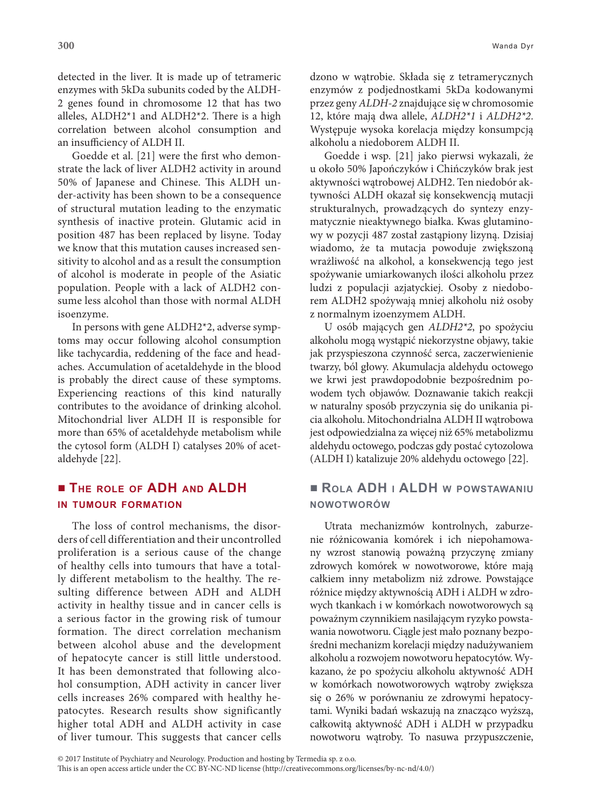detected in the liver. It is made up of tetrameric enzymes with 5kDa subunits coded by the ALDH-2 genes found in chromosome 12 that has two alleles, ALDH2\*1 and ALDH2\*2. There is a high correlation between alcohol consumption and an insufficiency of ALDH II.

Goedde et al. [21] were the first who demonstrate the lack of liver ALDH2 activity in around 50% of Japanese and Chinese. This ALDH under-activity has been shown to be a consequence of structural mutation leading to the enzymatic synthesis of inactive protein. Glutamic acid in position 487 has been replaced by lisyne. Today we know that this mutation causes increased sensitivity to alcohol and as a result the consumption of alcohol is moderate in people of the Asiatic population. People with a lack of ALDH2 consume less alcohol than those with normal ALDH isoenzyme.

In persons with gene ALDH2\*2, adverse symptoms may occur following alcohol consumption like tachycardia, reddening of the face and headaches. Accumulation of acetaldehyde in the blood is probably the direct cause of these symptoms. Experiencing reactions of this kind naturally contributes to the avoidance of drinking alcohol. Mitochondrial liver ALDH II is responsible for more than 65% of acetaldehyde metabolism while the cytosol form (ALDH I) catalyses 20% of acetaldehyde [22].

# **■ The role of ADH and ALDH in tumour formation**

The loss of control mechanisms, the disorders of cell differentiation and their uncontrolled proliferation is a serious cause of the change of healthy cells into tumours that have a totally different metabolism to the healthy. The resulting difference between ADH and ALDH activity in healthy tissue and in cancer cells is a serious factor in the growing risk of tumour formation. The direct correlation mechanism between alcohol abuse and the development of hepatocyte cancer is still little understood. It has been demonstrated that following alcohol consumption, ADH activity in cancer liver cells increases 26% compared with healthy hepatocytes. Research results show significantly higher total ADH and ALDH activity in case of liver tumour. This suggests that cancer cells

dzono w wątrobie. Składa się z tetramerycznych enzymów z podjednostkami 5kDa kodowanymi przez geny *ALDH-2* znajdujące się w chromosomie 12, które mają dwa allele, *ALDH2\*1* i *ALDH2\*2*. Występuje wysoka korelacja między konsumpcją alkoholu a niedoborem ALDH II.

Goedde i wsp. [21] jako pierwsi wykazali, że u około 50% Japończyków i Chińczyków brak jest aktywności wątrobowej ALDH2. Ten niedobór aktywności ALDH okazał się konsekwencją mutacji strukturalnych, prowadzących do syntezy enzymatycznie nieaktywnego białka. Kwas glutaminowy w pozycji 487 został zastąpiony lizyną. Dzisiaj wiadomo, że ta mutacja powoduje zwiększoną wrażliwość na alkohol, a konsekwencją tego jest spożywanie umiarkowanych ilości alkoholu przez ludzi z populacji azjatyckiej. Osoby z niedoborem ALDH2 spożywają mniej alkoholu niż osoby z normalnym izoenzymem ALDH.

U osób mających gen *ALDH2\*2*, po spożyciu alkoholu mogą wystąpić niekorzystne objawy, takie jak przyspieszona czynność serca, zaczerwienienie twarzy, ból głowy. Akumulacja aldehydu octowego we krwi jest prawdopodobnie bezpośrednim powodem tych objawów. Doznawanie takich reakcji w naturalny sposób przyczynia się do unikania picia alkoholu. Mitochondrialna ALDH II wątrobowa jest odpowiedzialna za więcej niż 65% metabolizmu aldehydu octowego, podczas gdy postać cytozolowa (ALDH I) katalizuje 20% aldehydu octowego [22].

# **■ Rola ADH i ALDH <sup>w</sup> powstawaniu nowotworów**

Utrata mechanizmów kontrolnych, zaburzenie różnicowania komórek i ich niepohamowany wzrost stanowią poważną przyczynę zmiany zdrowych komórek w nowotworowe, które mają całkiem inny metabolizm niż zdrowe. Powstające różnice między aktywnością ADH i ALDH w zdrowych tkankach i w komórkach nowotworowych są poważnym czynnikiem nasilającym ryzyko powstawania nowotworu. Ciągle jest mało poznany bezpośredni mechanizm korelacji między nadużywaniem alkoholu a rozwojem nowotworu hepatocytów. Wykazano, że po spożyciu alkoholu aktywność ADH w komórkach nowotworowych wątroby zwiększa się o 26% w porównaniu ze zdrowymi hepatocytami. Wyniki badań wskazują na znacząco wyższą, całkowitą aktywność ADH i ALDH w przypadku nowotworu wątroby. To nasuwa przypuszczenie,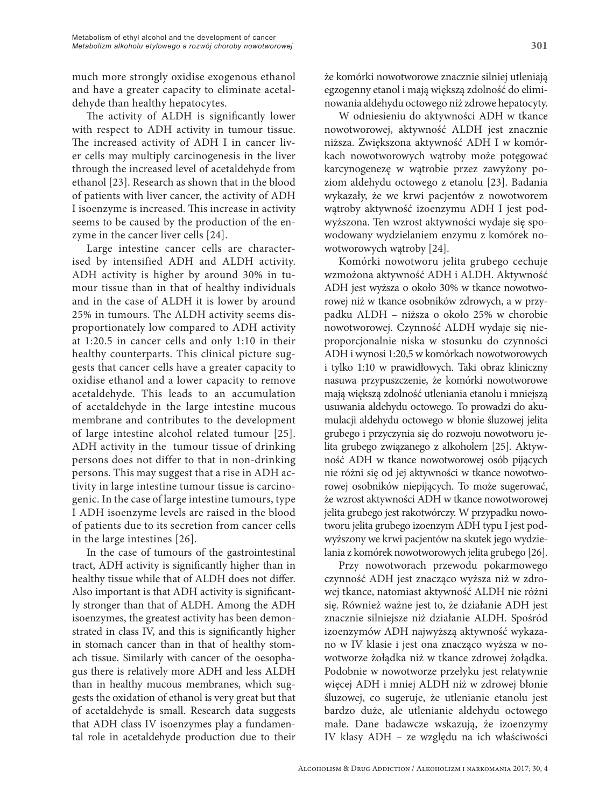much more strongly oxidise exogenous ethanol and have a greater capacity to eliminate acetaldehyde than healthy hepatocytes.

The activity of ALDH is significantly lower with respect to ADH activity in tumour tissue. The increased activity of ADH I in cancer liver cells may multiply carcinogenesis in the liver through the increased level of acetaldehyde from ethanol [23]. Research as shown that in the blood of patients with liver cancer, the activity of ADH I isoenzyme is increased. This increase in activity seems to be caused by the production of the enzyme in the cancer liver cells [24].

Large intestine cancer cells are characterised by intensified ADH and ALDH activity. ADH activity is higher by around 30% in tumour tissue than in that of healthy individuals and in the case of ALDH it is lower by around 25% in tumours. The ALDH activity seems disproportionately low compared to ADH activity at 1:20.5 in cancer cells and only 1:10 in their healthy counterparts. This clinical picture suggests that cancer cells have a greater capacity to oxidise ethanol and a lower capacity to remove acetaldehyde. This leads to an accumulation of acetaldehyde in the large intestine mucous membrane and contributes to the development of large intestine alcohol related tumour [25]. ADH activity in the tumour tissue of drinking persons does not differ to that in non-drinking persons. This may suggest that a rise in ADH activity in large intestine tumour tissue is carcinogenic. In the case of large intestine tumours, type I ADH isoenzyme levels are raised in the blood of patients due to its secretion from cancer cells in the large intestines [26].

In the case of tumours of the gastrointestinal tract, ADH activity is significantly higher than in healthy tissue while that of ALDH does not differ. Also important is that ADH activity is significantly stronger than that of ALDH. Among the ADH isoenzymes, the greatest activity has been demonstrated in class IV, and this is significantly higher in stomach cancer than in that of healthy stomach tissue. Similarly with cancer of the oesophagus there is relatively more ADH and less ALDH than in healthy mucous membranes, which suggests the oxidation of ethanol is very great but that of acetaldehyde is small. Research data suggests that ADH class IV isoenzymes play a fundamental role in acetaldehyde production due to their że komórki nowotworowe znacznie silniej utleniają egzogenny etanol i mają większą zdolność do eliminowania aldehydu octowego niż zdrowe hepatocyty.

W odniesieniu do aktywności ADH w tkance nowotworowej, aktywność ALDH jest znacznie niższa. Zwiększona aktywność ADH I w komórkach nowotworowych wątroby może potęgować karcynogenezę w wątrobie przez zawyżony poziom aldehydu octowego z etanolu [23]. Badania wykazały, że we krwi pacjentów z nowotworem wątroby aktywność izoenzymu ADH I jest podwyższona. Ten wzrost aktywności wydaje się spowodowany wydzielaniem enzymu z komórek nowotworowych wątroby [24].

Komórki nowotworu jelita grubego cechuje wzmożona aktywność ADH i ALDH. Aktywność ADH jest wyższa o około 30% w tkance nowotworowej niż w tkance osobników zdrowych, a w przypadku ALDH – niższa o około 25% w chorobie nowotworowej. Czynność ALDH wydaje się nieproporcjonalnie niska w stosunku do czynności ADH i wynosi 1:20,5 w komórkach nowotworowych i tylko 1:10 w prawidłowych. Taki obraz kliniczny nasuwa przypuszczenie, że komórki nowotworowe mają większą zdolność utleniania etanolu i mniejszą usuwania aldehydu octowego. To prowadzi do akumulacji aldehydu octowego w błonie śluzowej jelita grubego i przyczynia się do rozwoju nowotworu jelita grubego związanego z alkoholem [25]. Aktywność ADH w tkance nowotworowej osób pijących nie różni się od jej aktywności w tkance nowotworowej osobników niepijących. To może sugerować, że wzrost aktywności ADH w tkance nowotworowej jelita grubego jest rakotwórczy. W przypadku nowotworu jelita grubego izoenzym ADH typu I jest podwyższony we krwi pacjentów na skutek jego wydzielania z komórek nowotworowych jelita grubego [26].

Przy nowotworach przewodu pokarmowego czynność ADH jest znacząco wyższa niż w zdrowej tkance, natomiast aktywność ALDH nie różni się. Również ważne jest to, że działanie ADH jest znacznie silniejsze niż działanie ALDH. Spośród izoenzymów ADH najwyższą aktywność wykazano w IV klasie i jest ona znacząco wyższa w nowotworze żołądka niż w tkance zdrowej żołądka. Podobnie w nowotworze przełyku jest relatywnie więcej ADH i mniej ALDH niż w zdrowej błonie śluzowej, co sugeruje, że utlenianie etanolu jest bardzo duże, ale utlenianie aldehydu octowego małe. Dane badawcze wskazują, że izoenzymy IV klasy ADH – ze względu na ich właściwości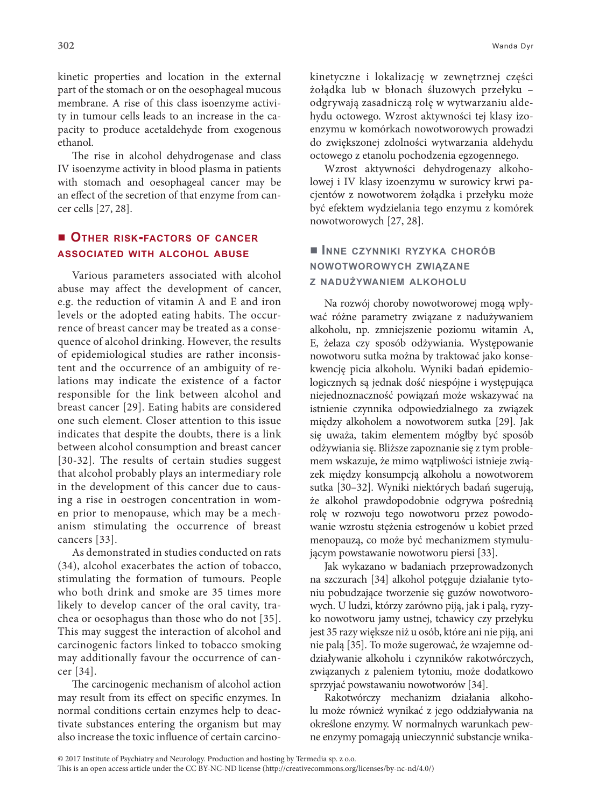kinetic properties and location in the external part of the stomach or on the oesophageal mucous membrane. A rise of this class isoenzyme activity in tumour cells leads to an increase in the capacity to produce acetaldehyde from exogenous ethanol.

The rise in alcohol dehydrogenase and class IV isoenzyme activity in blood plasma in patients with stomach and oesophageal cancer may be an effect of the secretion of that enzyme from cancer cells [27, 28].

# **■ Other risk-factors of cancer associated with alcohol abuse**

Various parameters associated with alcohol abuse may affect the development of cancer, e.g. the reduction of vitamin A and E and iron levels or the adopted eating habits. The occurrence of breast cancer may be treated as a consequence of alcohol drinking. However, the results of epidemiological studies are rather inconsistent and the occurrence of an ambiguity of relations may indicate the existence of a factor responsible for the link between alcohol and breast cancer [29]. Eating habits are considered one such element. Closer attention to this issue indicates that despite the doubts, there is a link between alcohol consumption and breast cancer [30-32]. The results of certain studies suggest that alcohol probably plays an intermediary role in the development of this cancer due to causing a rise in oestrogen concentration in women prior to menopause, which may be a mechanism stimulating the occurrence of breast cancers [33].

As demonstrated in studies conducted on rats (34), alcohol exacerbates the action of tobacco, stimulating the formation of tumours. People who both drink and smoke are 35 times more likely to develop cancer of the oral cavity, trachea or oesophagus than those who do not [35]. This may suggest the interaction of alcohol and carcinogenic factors linked to tobacco smoking may additionally favour the occurrence of cancer [34].

The carcinogenic mechanism of alcohol action may result from its effect on specific enzymes. In normal conditions certain enzymes help to deactivate substances entering the organism but may also increase the toxic influence of certain carcinokinetyczne i lokalizację w zewnętrznej części żołądka lub w błonach śluzowych przełyku – odgrywają zasadniczą rolę w wytwarzaniu aldehydu octowego. Wzrost aktywności tej klasy izoenzymu w komórkach nowotworowych prowadzi do zwiększonej zdolności wytwarzania aldehydu octowego z etanolu pochodzenia egzogennego.

Wzrost aktywności dehydrogenazy alkoholowej i IV klasy izoenzymu w surowicy krwi pacjentów z nowotworem żołądka i przełyku może być efektem wydzielania tego enzymu z komórek nowotworowych [27, 28].

# **■ Inne czynniki ryzyka chorób nowotworowych związane z nadużywaniem alkoholu**

Na rozwój choroby nowotworowej mogą wpływać różne parametry związane z nadużywaniem alkoholu, np. zmniejszenie poziomu witamin A, E, żelaza czy sposób odżywiania. Występowanie nowotworu sutka można by traktować jako konsekwencję picia alkoholu. Wyniki badań epidemiologicznych są jednak dość niespójne i występująca niejednoznaczność powiązań może wskazywać na istnienie czynnika odpowiedzialnego za związek między alkoholem a nowotworem sutka [29]. Jak się uważa, takim elementem mógłby być sposób odżywiania się. Bliższe zapoznanie się z tym problemem wskazuje, że mimo wątpliwości istnieje związek między konsumpcją alkoholu a nowotworem sutka [30–32]. Wyniki niektórych badań sugerują, że alkohol prawdopodobnie odgrywa pośrednią rolę w rozwoju tego nowotworu przez powodowanie wzrostu stężenia estrogenów u kobiet przed menopauzą, co może być mechanizmem stymulującym powstawanie nowotworu piersi [33].

Jak wykazano w badaniach przeprowadzonych na szczurach [34] alkohol potęguje działanie tytoniu pobudzające tworzenie się guzów nowotworowych. U ludzi, którzy zarówno piją, jak i palą, ryzyko nowotworu jamy ustnej, tchawicy czy przełyku jest 35 razy większe niż u osób, które ani nie piją, ani nie palą [35]. To może sugerować, że wzajemne oddziaływanie alkoholu i czynników rakotwórczych, związanych z paleniem tytoniu, może dodatkowo sprzyjać powstawaniu nowotworów [34].

Rakotwórczy mechanizm działania alkoholu może również wynikać z jego oddziaływania na określone enzymy. W normalnych warunkach pewne enzymy pomagają unieczynnić substancje wnika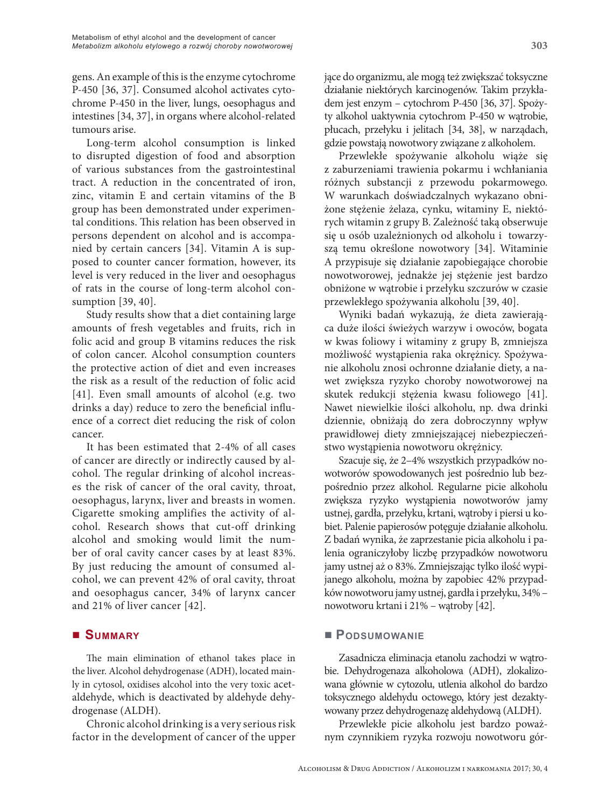gens. An example of this is the enzyme cytochrome P-450 [36, 37]. Consumed alcohol activates cytochrome P-450 in the liver, lungs, oesophagus and intestines [34, 37], in organs where alcohol-related tumours arise.

Long-term alcohol consumption is linked to disrupted digestion of food and absorption of various substances from the gastrointestinal tract. A reduction in the concentrated of iron, zinc, vitamin E and certain vitamins of the B group has been demonstrated under experimental conditions. This relation has been observed in persons dependent on alcohol and is accompanied by certain cancers [34]. Vitamin A is supposed to counter cancer formation, however, its level is very reduced in the liver and oesophagus of rats in the course of long-term alcohol consumption [39, 40].

Study results show that a diet containing large amounts of fresh vegetables and fruits, rich in folic acid and group B vitamins reduces the risk of colon cancer. Alcohol consumption counters the protective action of diet and even increases the risk as a result of the reduction of folic acid [41]. Even small amounts of alcohol (e.g. two drinks a day) reduce to zero the beneficial influence of a correct diet reducing the risk of colon cancer.

It has been estimated that 2-4% of all cases of cancer are directly or indirectly caused by alcohol. The regular drinking of alcohol increases the risk of cancer of the oral cavity, throat, oesophagus, larynx, liver and breasts in women. Cigarette smoking amplifies the activity of alcohol. Research shows that cut-off drinking alcohol and smoking would limit the number of oral cavity cancer cases by at least 83%. By just reducing the amount of consumed alcohol, we can prevent 42% of oral cavity, throat and oesophagus cancer, 34% of larynx cancer and 21% of liver cancer [42].

# **■ Summary**

The main elimination of ethanol takes place in the liver. Alcohol dehydrogenase (ADH), located mainly in cytosol, oxidises alcohol into the very toxic acetaldehyde, which is deactivated by aldehyde dehydrogenase (ALDH).

Chronic alcohol drinking is a very serious risk factor in the development of cancer of the upper jące do organizmu, ale mogą też zwiększać toksyczne działanie niektórych karcinogenów. Takim przykładem jest enzym – cytochrom P-450 [36, 37]. Spożyty alkohol uaktywnia cytochrom P-450 w wątrobie, płucach, przełyku i jelitach [34, 38], w narządach, gdzie powstają nowotwory związane z alkoholem.

Przewlekłe spożywanie alkoholu wiąże się z zaburzeniami trawienia pokarmu i wchłaniania różnych substancji z przewodu pokarmowego. W warunkach doświadczalnych wykazano obniżone stężenie żelaza, cynku, witaminy E, niektórych witamin z grupy B. Zależność taką obserwuje się u osób uzależnionych od alkoholu i towarzyszą temu określone nowotwory [34]. Witaminie A przypisuje się działanie zapobiegające chorobie nowotworowej, jednakże jej stężenie jest bardzo obniżone w wątrobie i przełyku szczurów w czasie przewlekłego spożywania alkoholu [39, 40].

Wyniki badań wykazują, że dieta zawierająca duże ilości świeżych warzyw i owoców, bogata w kwas foliowy i witaminy z grupy B, zmniejsza możliwość wystąpienia raka okrężnicy. Spożywanie alkoholu znosi ochronne działanie diety, a nawet zwiększa ryzyko choroby nowotworowej na skutek redukcji stężenia kwasu foliowego [41]. Nawet niewielkie ilości alkoholu, np. dwa drinki dziennie, obniżają do zera dobroczynny wpływ prawidłowej diety zmniejszającej niebezpieczeństwo wystąpienia nowotworu okrężnicy.

Szacuje się, że 2–4% wszystkich przypadków nowotworów spowodowanych jest pośrednio lub bezpośrednio przez alkohol. Regularne picie alkoholu zwiększa ryzyko wystąpienia nowotworów jamy ustnej, gardła, przełyku, krtani, wątroby i piersi u kobiet. Palenie papierosów potęguje działanie alkoholu. Z badań wynika, że zaprzestanie picia alkoholu i palenia ograniczyłoby liczbę przypadków nowotworu jamy ustnej aż o 83%. Zmniejszając tylko ilość wypijanego alkoholu, można by zapobiec 42% przypadków nowotworu jamy ustnej, gardła i przełyku, 34% – nowotworu krtani i 21% – wątroby [42].

# **■ Podsumowanie**

Zasadnicza eliminacja etanolu zachodzi w wątrobie. Dehydrogenaza alkoholowa (ADH), zlokalizowana głównie w cytozolu, utlenia alkohol do bardzo toksycznego aldehydu octowego, który jest dezaktywowany przez dehydrogenazę aldehydową (ALDH).

Przewlekłe picie alkoholu jest bardzo poważnym czynnikiem ryzyka rozwoju nowotworu gór-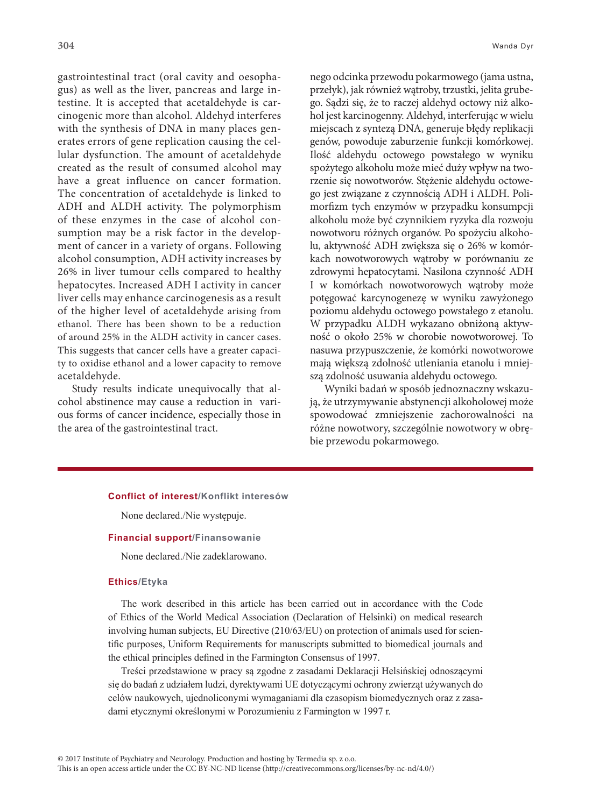gastrointestinal tract (oral cavity and oesophagus) as well as the liver, pancreas and large intestine. It is accepted that acetaldehyde is carcinogenic more than alcohol. Aldehyd interferes with the synthesis of DNA in many places generates errors of gene replication causing the cellular dysfunction. The amount of acetaldehyde created as the result of consumed alcohol may have a great influence on cancer formation. The concentration of acetaldehyde is linked to ADH and ALDH activity. The polymorphism of these enzymes in the case of alcohol consumption may be a risk factor in the development of cancer in a variety of organs. Following alcohol consumption, ADH activity increases by 26% in liver tumour cells compared to healthy hepatocytes. Increased ADH I activity in cancer liver cells may enhance carcinogenesis as a result of the higher level of acetaldehyde arising from ethanol. There has been shown to be a reduction of around 25% in the ALDH activity in cancer cases. This suggests that cancer cells have a greater capacity to oxidise ethanol and a lower capacity to remove acetaldehyde.

Study results indicate unequivocally that alcohol abstinence may cause a reduction in various forms of cancer incidence, especially those in the area of the gastrointestinal tract.

nego odcinka przewodu pokarmowego (jama ustna, przełyk), jak również wątroby, trzustki, jelita grubego. Sądzi się, że to raczej aldehyd octowy niż alkohol jest karcinogenny. Aldehyd, interferując w wielu miejscach z syntezą DNA, generuje błędy replikacji genów, powoduje zaburzenie funkcji komórkowej. Ilość aldehydu octowego powstałego w wyniku spożytego alkoholu może mieć duży wpływ na tworzenie się nowotworów. Stężenie aldehydu octowego jest związane z czynnością ADH i ALDH. Polimorfizm tych enzymów w przypadku konsumpcji alkoholu może być czynnikiem ryzyka dla rozwoju nowotworu różnych organów. Po spożyciu alkoholu, aktywność ADH zwiększa się o 26% w komórkach nowotworowych wątroby w porównaniu ze zdrowymi hepatocytami. Nasilona czynność ADH I w komórkach nowotworowych wątroby może potęgować karcynogenezę w wyniku zawyżonego poziomu aldehydu octowego powstałego z etanolu. W przypadku ALDH wykazano obniżoną aktywność o około 25% w chorobie nowotworowej. To nasuwa przypuszczenie, że komórki nowotworowe mają większą zdolność utleniania etanolu i mniejszą zdolność usuwania aldehydu octowego.

Wyniki badań w sposób jednoznaczny wskazują, że utrzymywanie abstynencji alkoholowej może spowodować zmniejszenie zachorowalności na różne nowotwory, szczególnie nowotwory w obrębie przewodu pokarmowego.

#### **Conflict of interest/Konflikt interesów**

None declared./Nie występuje.

#### **Financial support/Finansowanie**

None declared./Nie zadeklarowano.

#### **Ethics/Etyka**

The work described in this article has been carried out in accordance with the Code of Ethics of the World Medical Association (Declaration of Helsinki) on medical research involving human subjects, EU Directive (210/63/EU) on protection of animals used for scientific purposes, Uniform Requirements for manuscripts submitted to biomedical journals and the ethical principles defined in the Farmington Consensus of 1997.

Treści przedstawione w pracy są zgodne z zasadami Deklaracji Helsińskiej odnoszącymi się do badań z udziałem ludzi, dyrektywami UE dotyczącymi ochrony zwierząt używanych do celów naukowych, ujednoliconymi wymaganiami dla czasopism biomedycznych oraz z zasadami etycznymi określonymi w Porozumieniu z Farmington w 1997 r.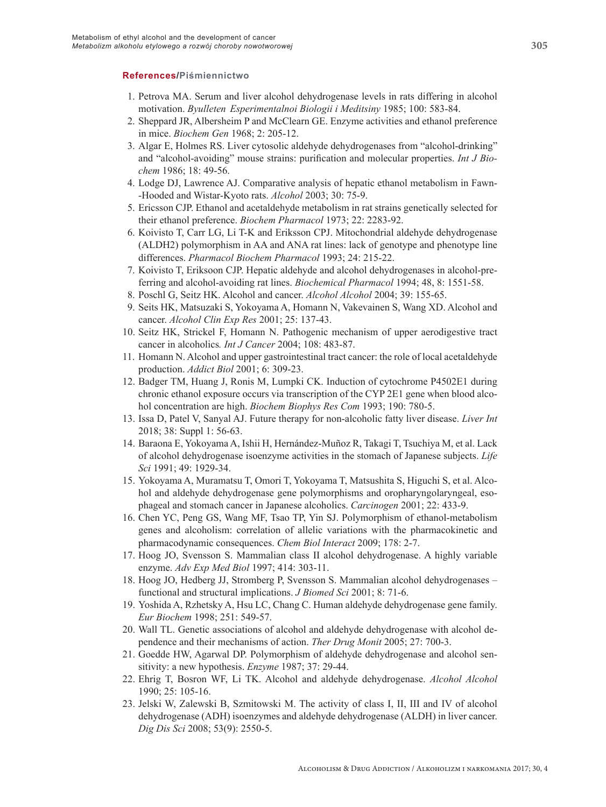#### **References/Piśmiennictwo**

- 1. Petrova MA. Serum and liver alcohol dehydrogenase levels in rats differing in alcohol motivation. *Byulleten Esperimentalnoi Biologii i Meditsiny* 1985; 100: 583-84.
- 2. Sheppard JR, Albersheim P and McClearn GE. Enzyme activities and ethanol preference in mice. *Biochem Gen* 1968; 2: 205-12.
- 3. Algar E, Holmes RS. Liver cytosolic aldehyde dehydrogenases from "alcohol-drinking" and "alcohol-avoiding" mouse strains: purification and molecular properties. *Int J Biochem* 1986; 18: 49-56.
- 4. Lodge DJ, Lawrence AJ. Comparative analysis of hepatic ethanol metabolism in Fawn- -Hooded and Wistar-Kyoto rats. *Alcohol* 2003; 30: 75-9.
- 5. Ericsson CJP. Ethanol and acetaldehyde metabolism in rat strains genetically selected for their ethanol preference. *Biochem Pharmacol* 1973; 22: 2283-92.
- 6. Koivisto T, Carr LG, Li T-K and Eriksson CPJ. Mitochondrial aldehyde dehydrogenase (ALDH2) polymorphism in AA and ANA rat lines: lack of genotype and phenotype line differences. *Pharmacol Biochem Pharmacol* 1993; 24: 215-22.
- 7. Koivisto T, Eriksoon CJP. Hepatic aldehyde and alcohol dehydrogenases in alcohol-preferring and alcohol-avoiding rat lines. *Biochemical Pharmacol* 1994; 48, 8: 1551-58.
- 8. Poschl G, Seitz HK. Alcohol and cancer. *Alcohol Alcohol* 2004; 39: 155-65.
- 9. Seits HK, Matsuzaki S, Yokoyama A, Homann N, Vakevainen S, Wang XD. Alcohol and cancer. *Alcohol Clin Exp Res* 2001; 25: 137-43.
- 10. Seitz HK, Strickel F, Homann N. Pathogenic mechanism of upper aerodigestive tract cancer in alcoholics*. Int J Cancer* 2004; 108: 483-87.
- 11. Homann N. Alcohol and upper gastrointestinal tract cancer: the role of local acetaldehyde production. *Addict Biol* 2001; 6: 309-23.
- 12. Badger TM, Huang J, Ronis M, Lumpki CK. Induction of cytochrome P4502E1 during chronic ethanol exposure occurs via transcription of the CYP 2E1 gene when blood alcohol concentration are high. *Biochem Biophys Res Com* 1993; 190: 780-5.
- 13. Issa D, Patel V, Sanyal AJ. Future therapy for non-alcoholic fatty liver disease. *Liver Int*  2018; 38: Suppl 1: 56-63.
- 14. Baraona E, Yokoyama A, Ishii H, Hernández-Muñoz R, Takagi T, Tsuchiya M, et al. Lack of alcohol dehydrogenase isoenzyme activities in the stomach of Japanese subjects. *Life Sci* 1991; 49: 1929-34.
- 15. Yokoyama A, Muramatsu T, Omori T, Yokoyama T, Matsushita S, Higuchi S, et al. Alcohol and aldehyde dehydrogenase gene polymorphisms and oropharyngolaryngeal, esophageal and stomach cancer in Japanese alcoholics. *Carcinogen* 2001; 22: 433-9.
- 16. Chen YC, Peng GS, Wang MF, Tsao TP, Yin SJ. Polymorphism of ethanol-metabolism genes and alcoholism: correlation of allelic variations with the pharmacokinetic and pharmacodynamic consequences. *Chem Biol Interact* 2009; 178: 2-7.
- 17. Hoog JO, Svensson S. Mammalian class II alcohol dehydrogenase. A highly variable enzyme. *Adv Exp Med Biol* 1997; 414: 303-11.
- 18. Hoog JO, Hedberg JJ, Stromberg P, Svensson S. Mammalian alcohol dehydrogenases functional and structural implications. *J Biomed Sci* 2001; 8: 71-6.
- 19. Yoshida A, Rzhetsky A, Hsu LC, Chang C. Human aldehyde dehydrogenase gene family. *Eur Biochem* 1998; 251: 549-57.
- 20. Wall TL. Genetic associations of alcohol and aldehyde dehydrogenase with alcohol dependence and their mechanisms of action. *Ther Drug Monit* 2005; 27: 700-3.
- 21. Goedde HW, Agarwal DP. Polymorphism of aldehyde dehydrogenase and alcohol sensitivity: a new hypothesis. *Enzyme* 1987; 37: 29-44.
- 22. Ehrig T, Bosron WF, Li TK. Alcohol and aldehyde dehydrogenase. *Alcohol Alcohol* 1990; 25: 105-16.
- 23. Jelski W, Zalewski B, Szmitowski M. The activity of class I, II, III and IV of alcohol dehydrogenase (ADH) isoenzymes and aldehyde dehydrogenase (ALDH) in liver cancer. *Dig Dis Sci* 2008; 53(9): 2550-5.